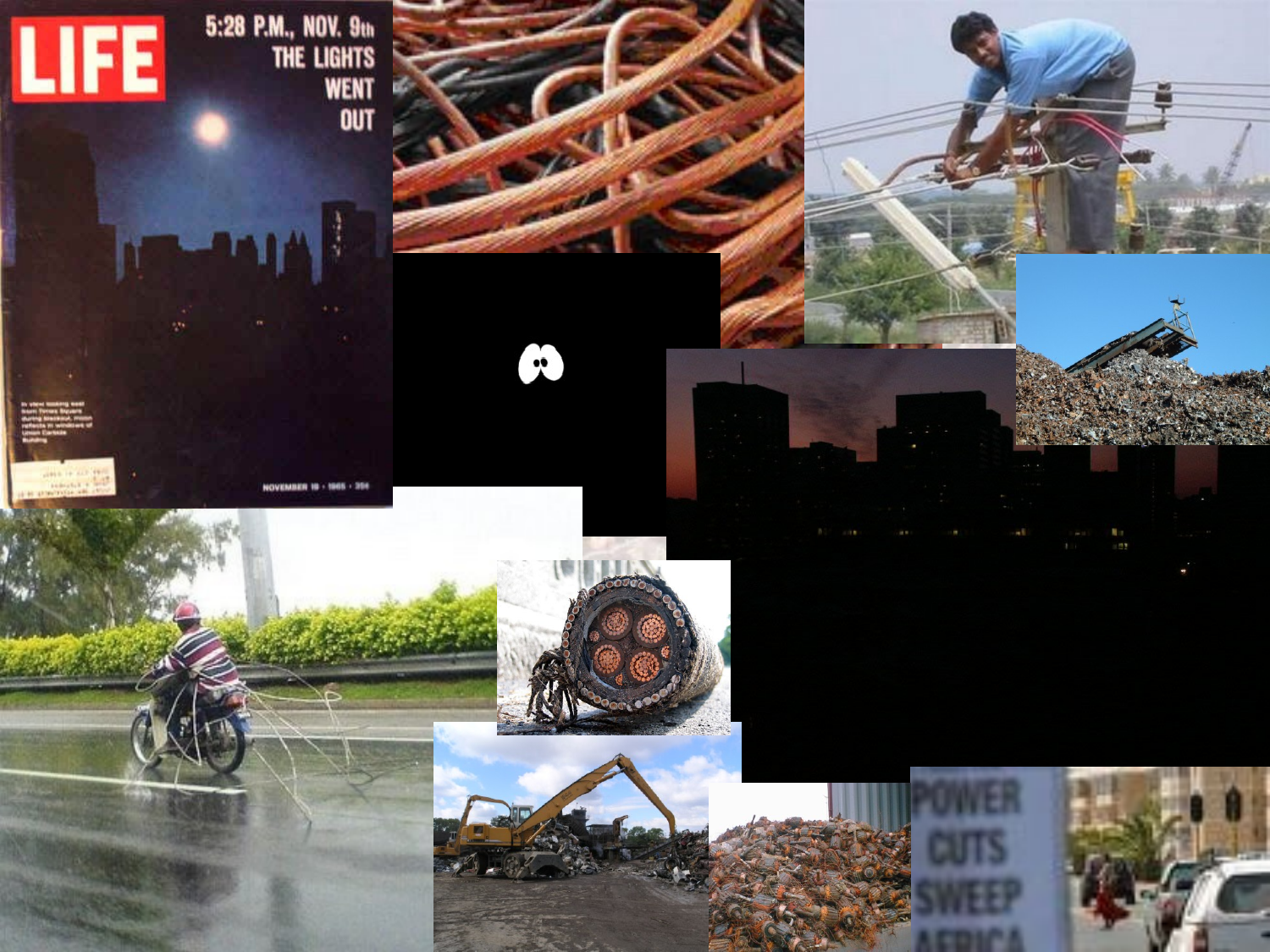

5:28 P.M., NOV. 9th<br>The Light's<br>Went<br>Out

NOVEMBER 18 - 1961



M

SAVID STORE





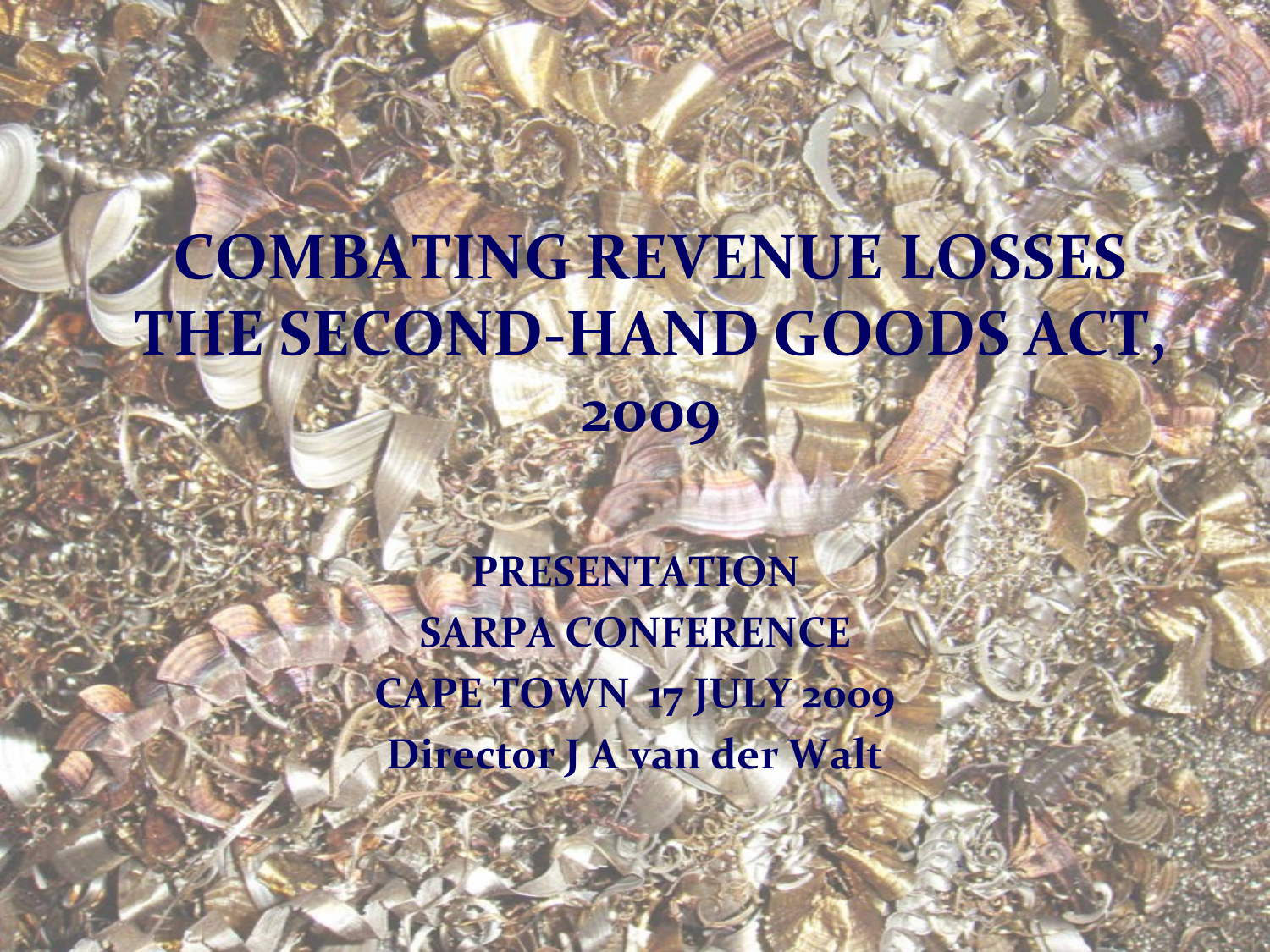# **COMBATING REVENUE LOSSES THE SECOND-HAND GOODS ACT,**

**2009**

**PRESENTATION SARPA CONFERENCE CAPE TOWN 17 JULY 2009 Director J A van der Walt**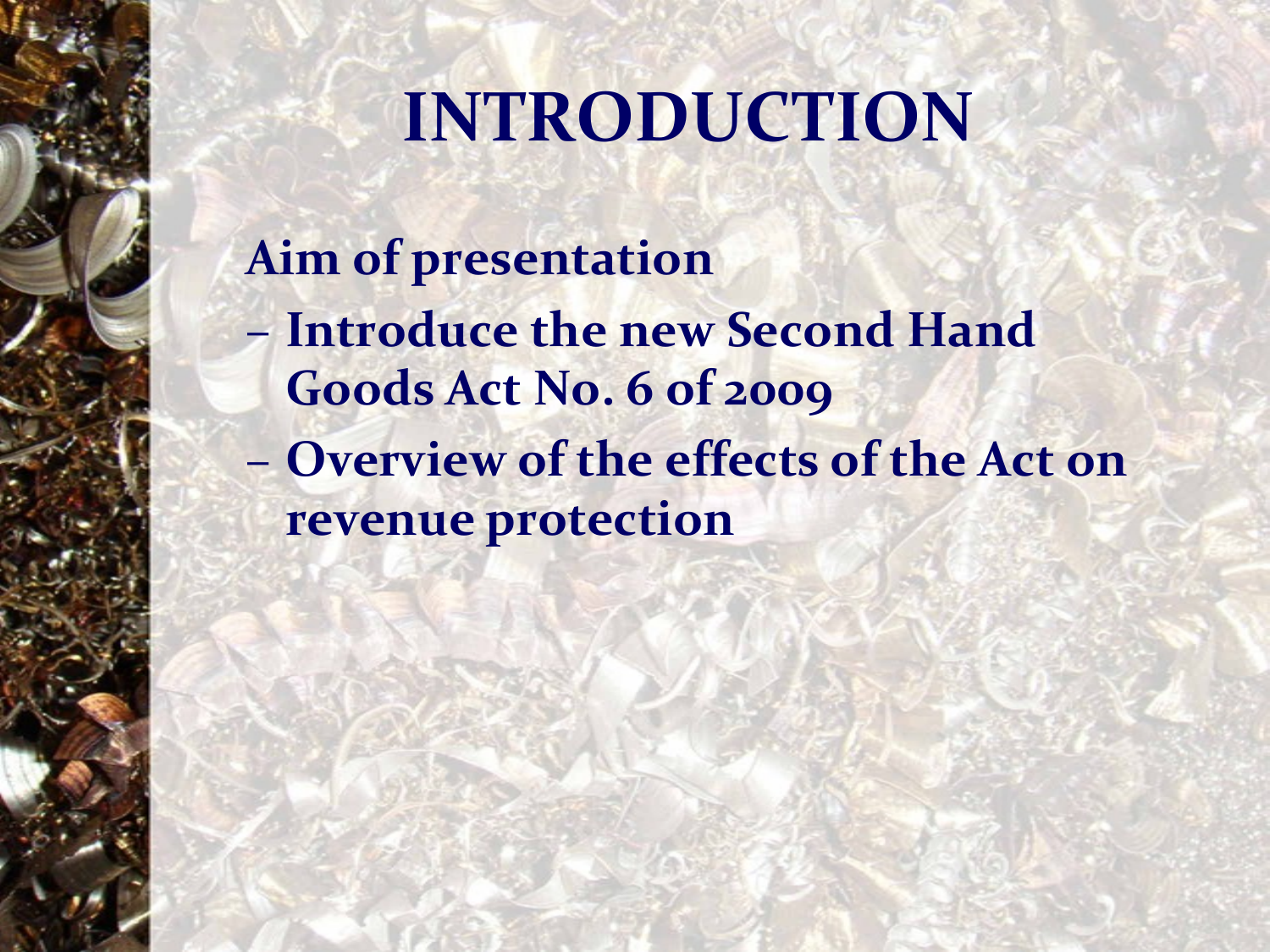#### **INTRODUCTION**

#### **Aim of presentation**

- **Introduce the new Second Hand Goods Act No. 6 of 2009**
- **Overview of the effects of the Act on revenue protection**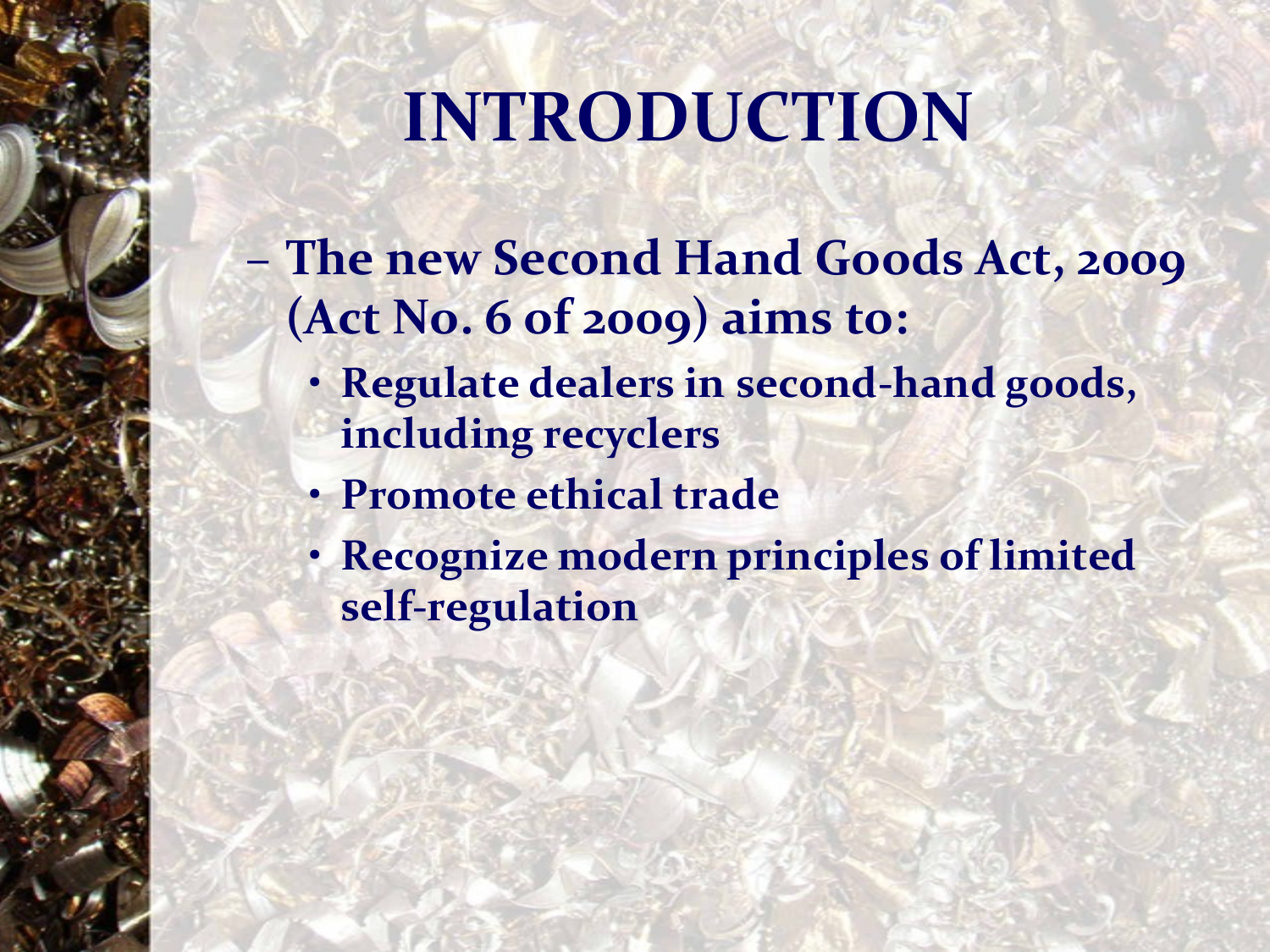# **INTRODUCTION**

- **The new Second Hand Goods Act, 2009 (Act No. 6 of 2009) aims to:**
	- **Regulate dealers in second-hand goods, including recyclers**
	- **Promote ethical trade**
	- **Recognize modern principles of limited self-regulation**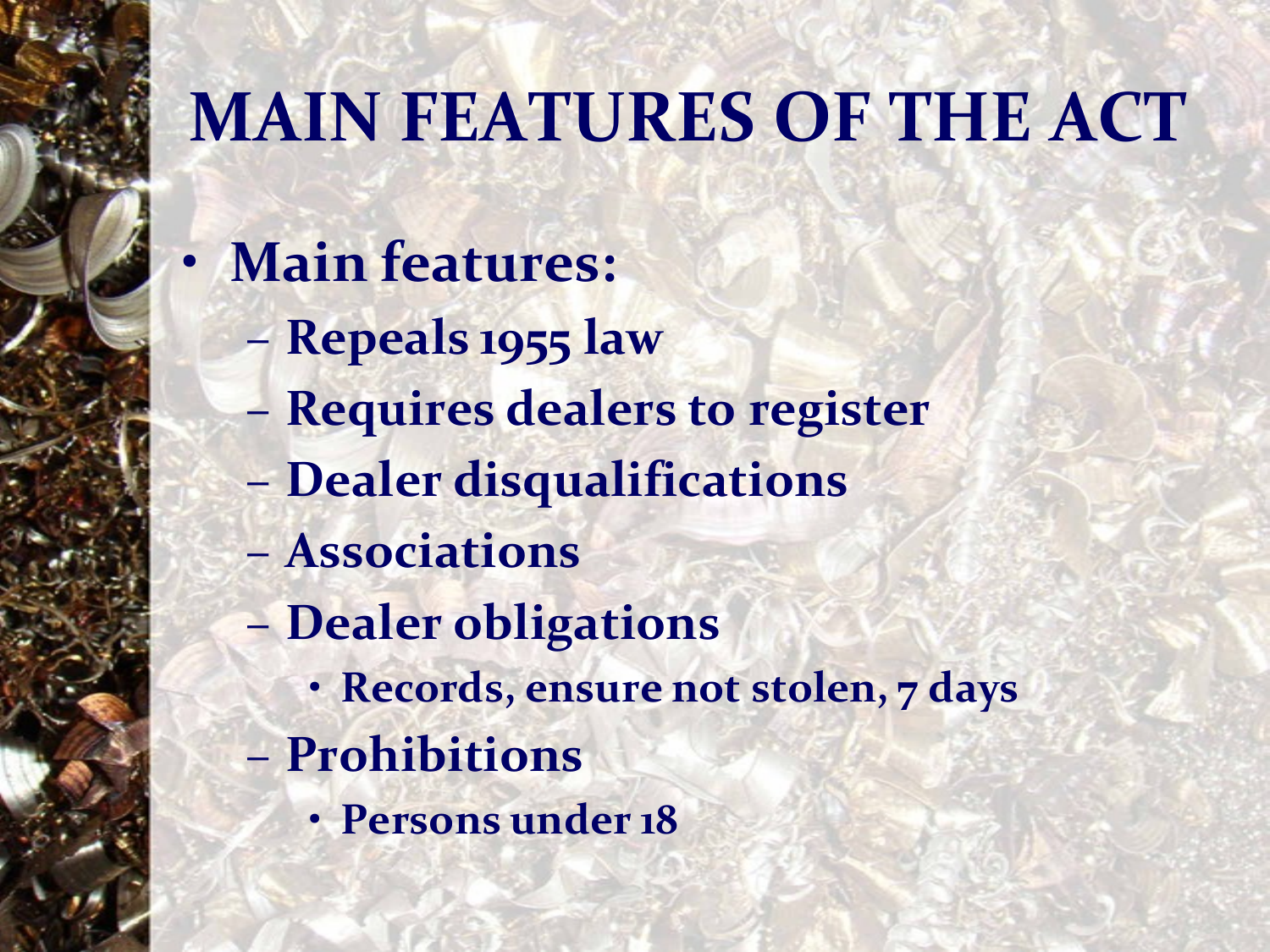### **MAIN FEATURES OF THE ACT**

- **Main features:**
	- **Repeals 1955 law**
	- **Requires dealers to register**
	- **Dealer disqualifications**
	- **Associations**
	- **Dealer obligations**
		- **Records, ensure not stolen, 7 days**
	- **Prohibitions**
		- **Persons under 18**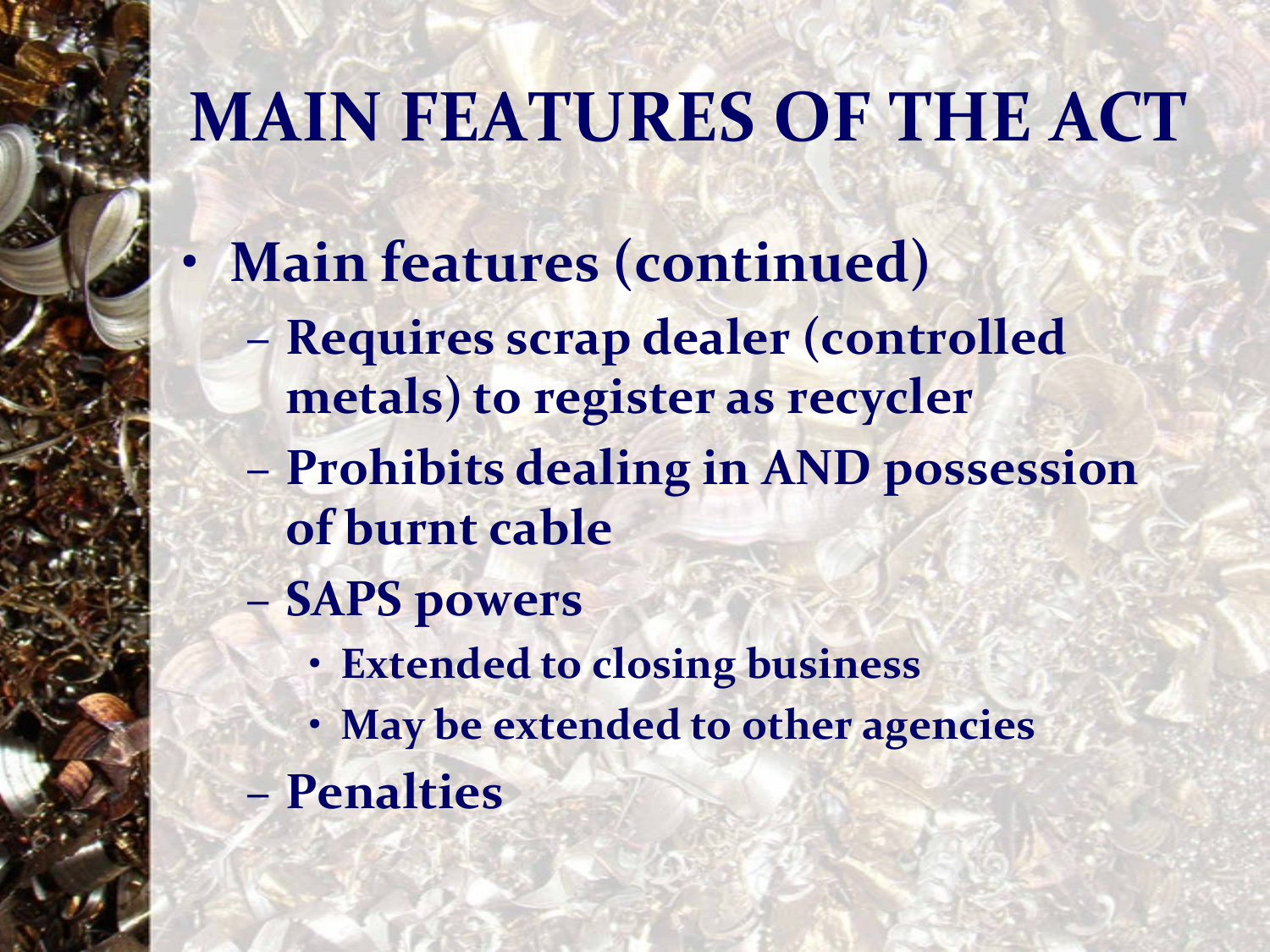### **MAIN FEATURES OF THE ACT**

- **Main features (continued)**
	- **Requires scrap dealer (controlled metals) to register as recycler**
	- **Prohibits dealing in AND possession of burnt cable**
	- **SAPS powers** 
		- **Extended to closing business**
		- **May be extended to other agencies**
	- **Penalties**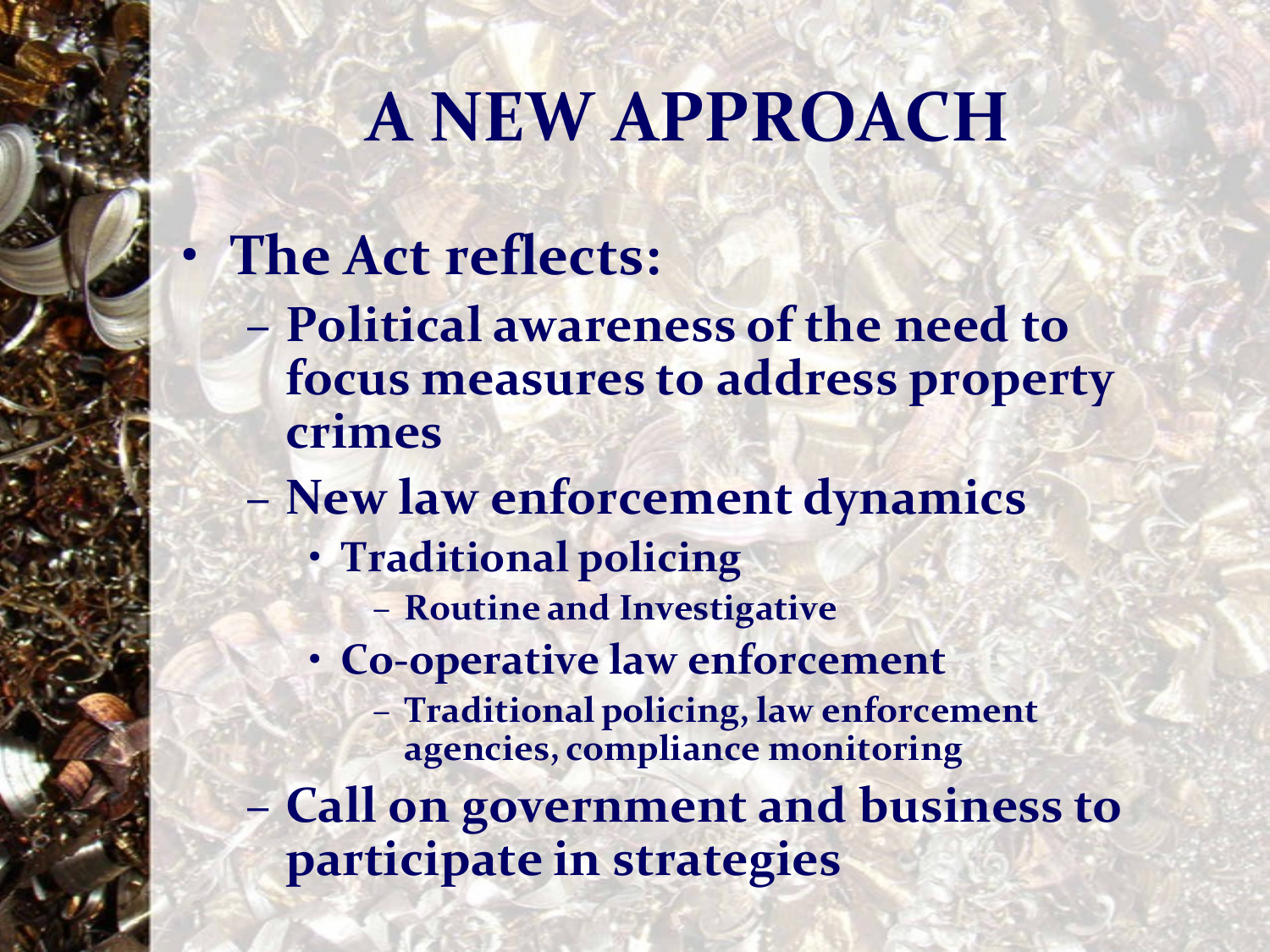#### **A NEW APPROACH**

#### • **The Act reflects:**

- **Political awareness of the need to focus measures to address property crimes**
- **New law enforcement dynamics**
	- **Traditional policing**
		- **Routine and Investigative**
	- **Co-operative law enforcement**
		- **Traditional policing, law enforcement agencies, compliance monitoring**
- **Call on government and business to participate in strategies**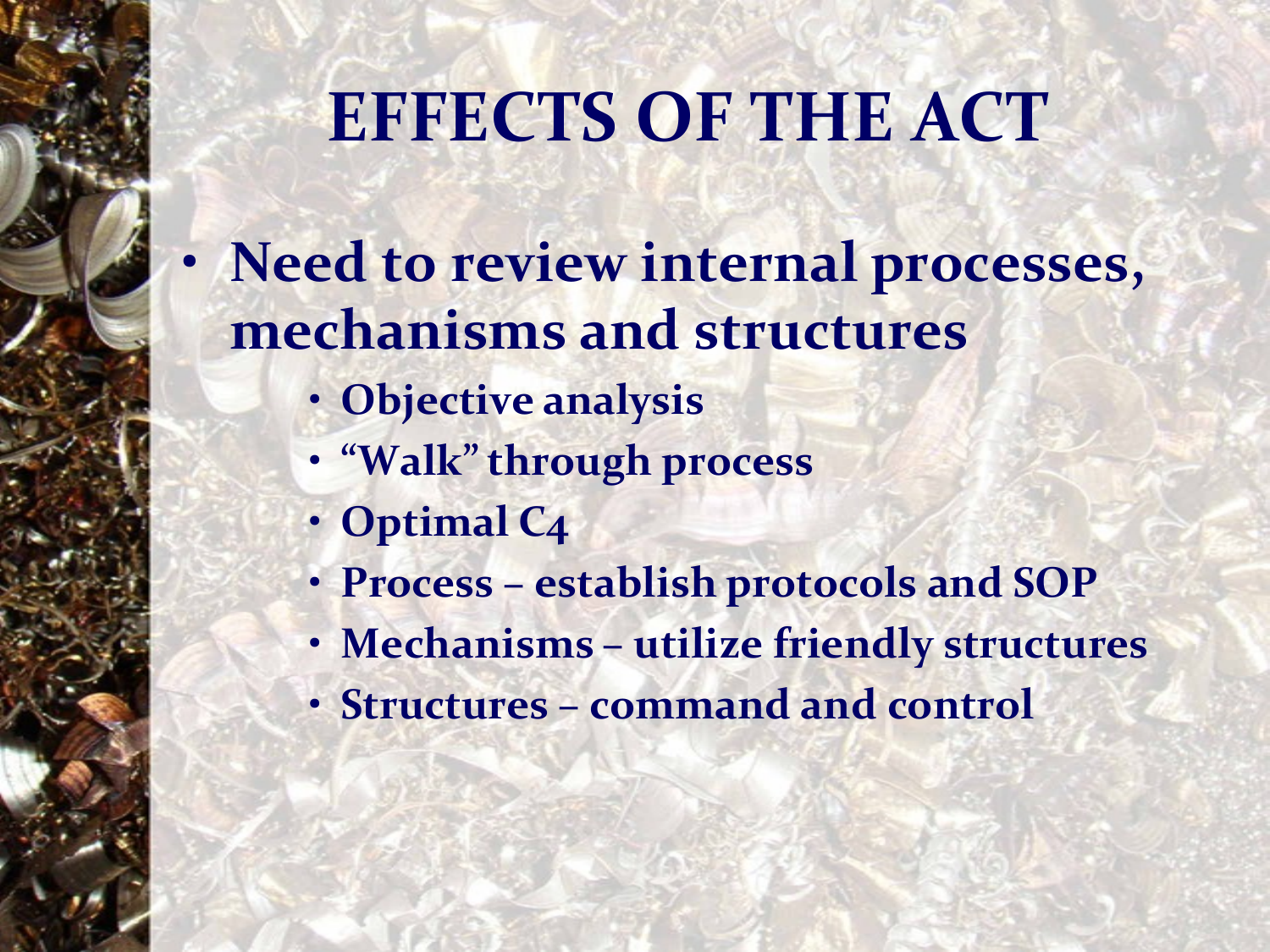### **EFFECTS OF THE ACT**

- **Need to review internal processes, mechanisms and structures**
	- **Objective analysis**
	- **"Walk" through process**
	- **Optimal C4**
	- **Process – establish protocols and SOP**
	- **Mechanisms – utilize friendly structures**
	- **Structures – command and control**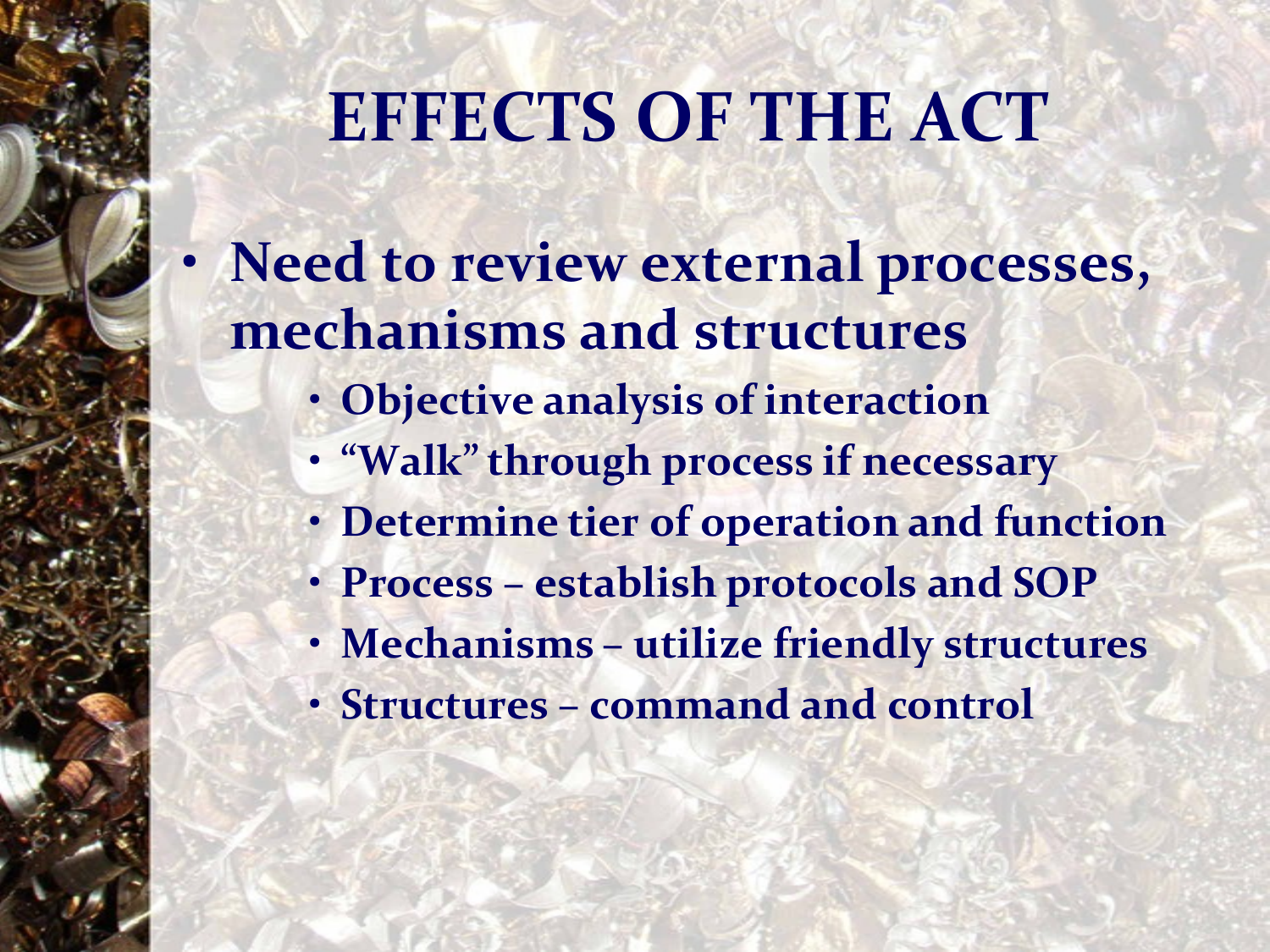### **EFFECTS OF THE ACT**

- **Need to review external processes, mechanisms and structures**
	- **Objective analysis of interaction**
	- **"Walk" through process if necessary**
	- **Determine tier of operation and function**
	- **Process – establish protocols and SOP**
	- **Mechanisms – utilize friendly structures**
	- **Structures – command and control**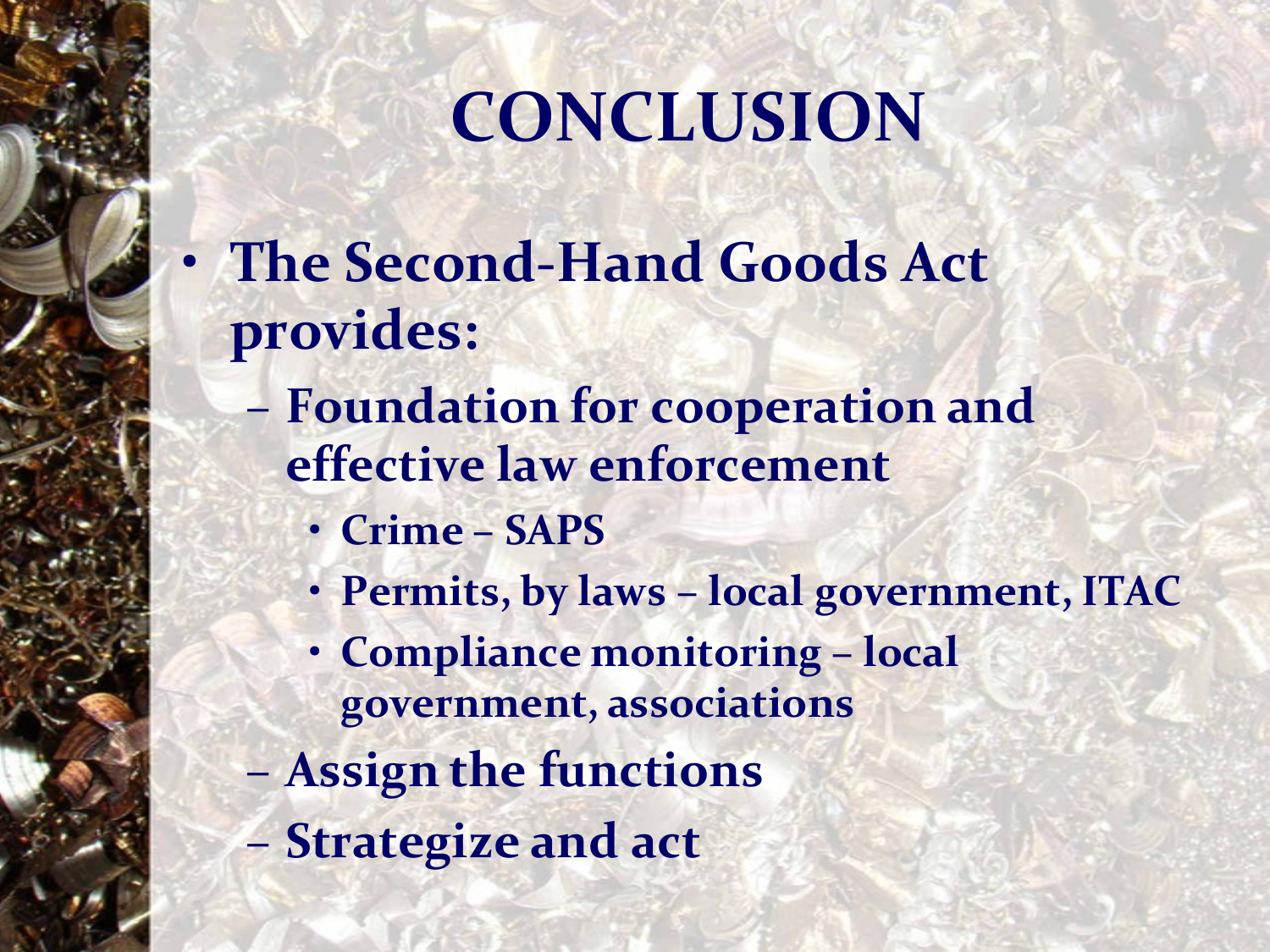# **CONCLUSION**

- **The Second-Hand Goods Act provides:**
	- **Foundation for cooperation and effective law enforcement**
		- **Crime – SAPS**
		- **Permits, by laws – local government, ITAC**
		- **Compliance monitoring – local government, associations**
	- **Assign the functions**
	- **Strategize and act**